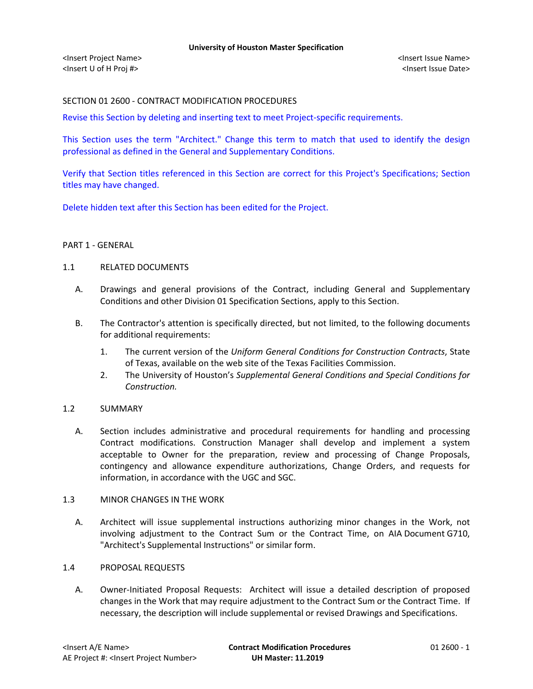# SECTION 01 2600 - CONTRACT MODIFICATION PROCEDURES

Revise this Section by deleting and inserting text to meet Project-specific requirements.

This Section uses the term "Architect." Change this term to match that used to identify the design professional as defined in the General and Supplementary Conditions.

Verify that Section titles referenced in this Section are correct for this Project's Specifications; Section titles may have changed.

Delete hidden text after this Section has been edited for the Project.

## PART 1 - GENERAL

### 1.1 RELATED DOCUMENTS

- A. Drawings and general provisions of the Contract, including General and Supplementary Conditions and other Division 01 Specification Sections, apply to this Section.
- B. The Contractor's attention is specifically directed, but not limited, to the following documents for additional requirements:
	- 1. The current version of the *Uniform General Conditions for Construction Contracts*, State of Texas, available on the web site of the Texas Facilities Commission.
	- 2. The University of Houston's *Supplemental General Conditions and Special Conditions for Construction.*

## 1.2 SUMMARY

A. Section includes administrative and procedural requirements for handling and processing Contract modifications. Construction Manager shall develop and implement a system acceptable to Owner for the preparation, review and processing of Change Proposals, contingency and allowance expenditure authorizations, Change Orders, and requests for information, in accordance with the UGC and SGC.

## 1.3 MINOR CHANGES IN THE WORK

A. Architect will issue supplemental instructions authorizing minor changes in the Work, not involving adjustment to the Contract Sum or the Contract Time, on AIA Document G710, "Architect's Supplemental Instructions" or similar form.

## 1.4 PROPOSAL REQUESTS

A. Owner-Initiated Proposal Requests: Architect will issue a detailed description of proposed changes in the Work that may require adjustment to the Contract Sum or the Contract Time. If necessary, the description will include supplemental or revised Drawings and Specifications.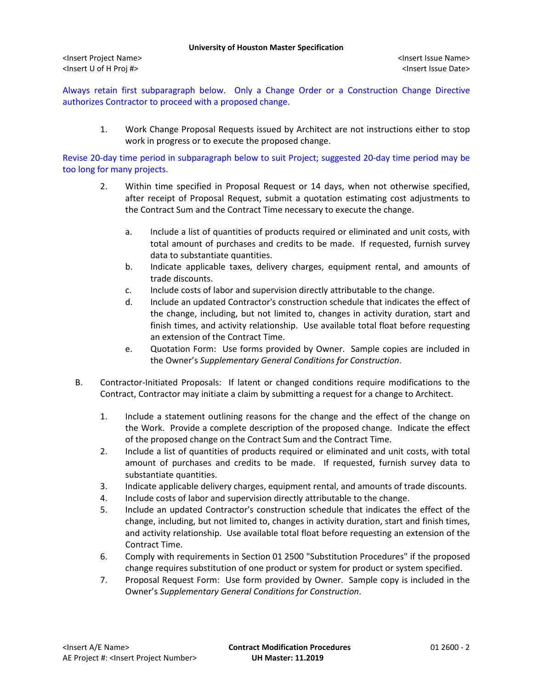Always retain first subparagraph below. Only a Change Order or a Construction Change Directive authorizes Contractor to proceed with a proposed change.

1. Work Change Proposal Requests issued by Architect are not instructions either to stop work in progress or to execute the proposed change.

Revise 20-day time period in subparagraph below to suit Project; suggested 20-day time period may be too long for many projects.

- 2. Within time specified in Proposal Request or 14 days, when not otherwise specified, after receipt of Proposal Request, submit a quotation estimating cost adjustments to the Contract Sum and the Contract Time necessary to execute the change.
	- a. Include a list of quantities of products required or eliminated and unit costs, with total amount of purchases and credits to be made. If requested, furnish survey data to substantiate quantities.
	- b. Indicate applicable taxes, delivery charges, equipment rental, and amounts of trade discounts.
	- c. Include costs of labor and supervision directly attributable to the change.
	- d. Include an updated Contractor's construction schedule that indicates the effect of the change, including, but not limited to, changes in activity duration, start and finish times, and activity relationship. Use available total float before requesting an extension of the Contract Time.
	- e. Quotation Form: Use forms provided by Owner. Sample copies are included in the Owner's *Supplementary General Conditions for Construction*.
- B. Contractor-Initiated Proposals: If latent or changed conditions require modifications to the Contract, Contractor may initiate a claim by submitting a request for a change to Architect.
	- 1. Include a statement outlining reasons for the change and the effect of the change on the Work. Provide a complete description of the proposed change. Indicate the effect of the proposed change on the Contract Sum and the Contract Time.
	- 2. Include a list of quantities of products required or eliminated and unit costs, with total amount of purchases and credits to be made. If requested, furnish survey data to substantiate quantities.
	- 3. Indicate applicable delivery charges, equipment rental, and amounts of trade discounts.
	- 4. Include costs of labor and supervision directly attributable to the change.
	- 5. Include an updated Contractor's construction schedule that indicates the effect of the change, including, but not limited to, changes in activity duration, start and finish times, and activity relationship. Use available total float before requesting an extension of the Contract Time.
	- 6. Comply with requirements in Section 01 2500 "Substitution Procedures" if the proposed change requires substitution of one product or system for product or system specified.
	- 7. Proposal Request Form: Use form provided by Owner. Sample copy is included in the Owner's *Supplementary General Conditions for Construction*.